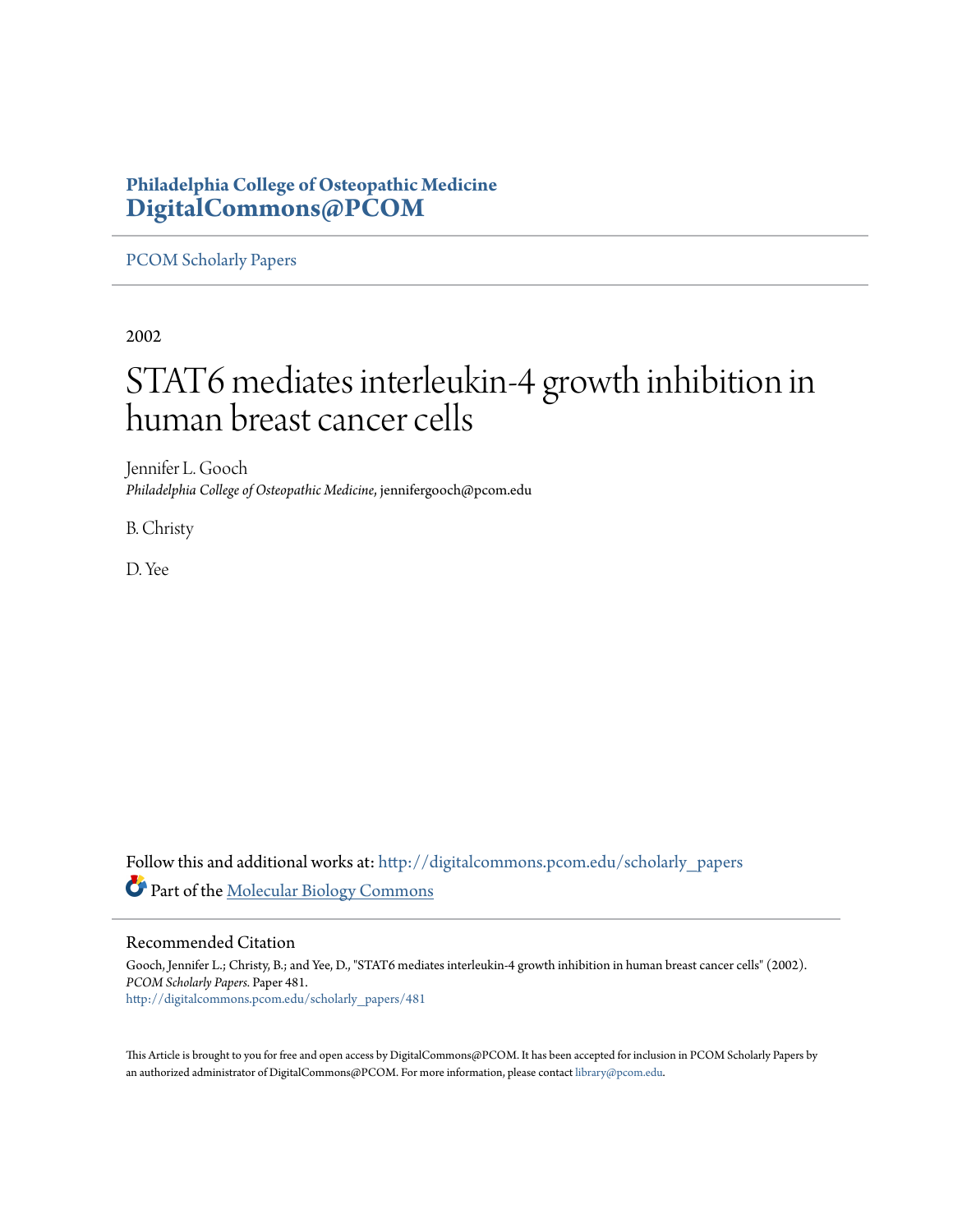# **Philadelphia College of Osteopathic Medicine [DigitalCommons@PCOM](http://digitalcommons.pcom.edu?utm_source=digitalcommons.pcom.edu%2Fscholarly_papers%2F481&utm_medium=PDF&utm_campaign=PDFCoverPages)**

# [PCOM Scholarly Papers](http://digitalcommons.pcom.edu/scholarly_papers?utm_source=digitalcommons.pcom.edu%2Fscholarly_papers%2F481&utm_medium=PDF&utm_campaign=PDFCoverPages)

2002

# STAT6 mediates interleukin-4 growth inhibition in human breast cancer cells

Jennifer L. Gooch *Philadelphia College of Osteopathic Medicine*, jennifergooch@pcom.edu

B. Christy

D. Yee

Follow this and additional works at: [http://digitalcommons.pcom.edu/scholarly\\_papers](http://digitalcommons.pcom.edu/scholarly_papers?utm_source=digitalcommons.pcom.edu%2Fscholarly_papers%2F481&utm_medium=PDF&utm_campaign=PDFCoverPages) Part of the [Molecular Biology Commons](http://network.bepress.com/hgg/discipline/5?utm_source=digitalcommons.pcom.edu%2Fscholarly_papers%2F481&utm_medium=PDF&utm_campaign=PDFCoverPages)

# Recommended Citation

Gooch, Jennifer L.; Christy, B.; and Yee, D., "STAT6 mediates interleukin-4 growth inhibition in human breast cancer cells" (2002). *PCOM Scholarly Papers.* Paper 481. [http://digitalcommons.pcom.edu/scholarly\\_papers/481](http://digitalcommons.pcom.edu/scholarly_papers/481?utm_source=digitalcommons.pcom.edu%2Fscholarly_papers%2F481&utm_medium=PDF&utm_campaign=PDFCoverPages)

This Article is brought to you for free and open access by DigitalCommons@PCOM. It has been accepted for inclusion in PCOM Scholarly Papers by an authorized administrator of DigitalCommons@PCOM. For more information, please contact [library@pcom.edu.](mailto:library@pcom.edu)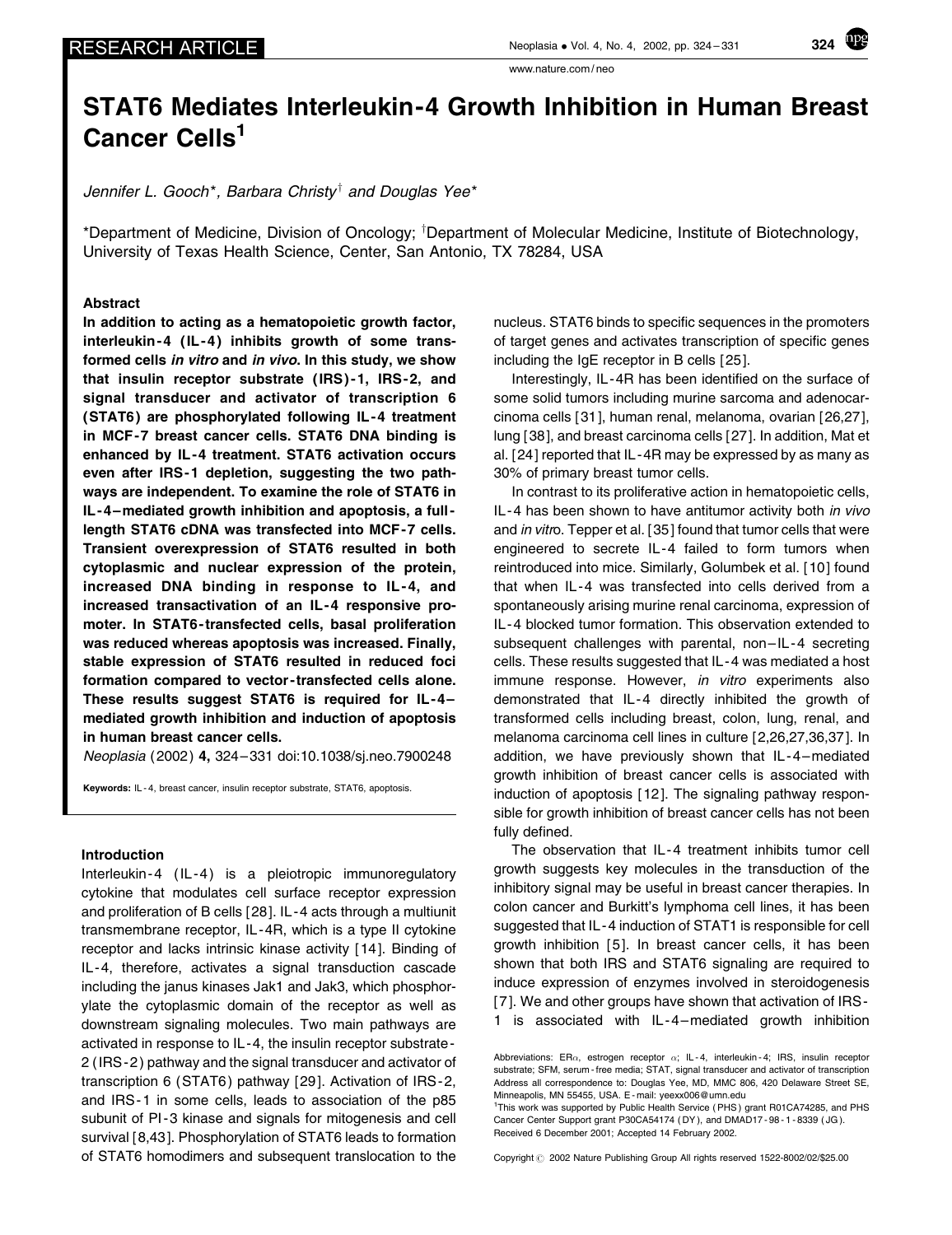Cancer Cells<sup>1</sup>

www.nature.com / neo

Jennifer L. Gooch\*, Barbara Christy<sup>†</sup> and Douglas Yee\*

\*Department of Medicine, Division of Oncology; <sup>†</sup>Department of Molecular Medicine, Institute of Biotechnology, University of Texas Health Science, Center, San Antonio, TX 78284, USA

#### Abstract

In addition to acting as a hematopoietic growth factor, interleukin-4 (IL-4) inhibits growth of some transformed cells in vitro and in vivo. In this study, we show that insulin receptor substrate (IRS)-1, IRS-2, and signal transducer and activator of transcription 6 (STAT6) are phosphorylated following IL-4 treatment in MCF -7 breast cancer cells. STAT6 DNA binding is enhanced by IL -4 treatment. STAT6 activation occurs even after IRS-1 depletion, suggesting the two pathways are independent. To examine the role of STAT6 in IL -4 –mediated growth inhibition and apoptosis, a full length STAT6 cDNA was transfected into MCF -7 cells. Transient overexpression of STAT6 resulted in both cytoplasmic and nuclear expression of the protein, increased DNA binding in response to IL -4, and increased transactivation of an IL -4 responsive promoter. In STAT6 - transfected cells, basal proliferation was reduced whereas apoptosis was increased. Finally, stable expression of STAT6 resulted in reduced foci formation compared to vector - transfected cells alone. These results suggest STAT6 is required for IL -4 – mediated growth inhibition and induction of apoptosis in human breast cancer cells.

Neoplasia (2002 ) 4, 324– 331 doi:10.1038/sj.neo.7900248

Keywords: IL - 4, breast cancer, insulin receptor substrate, STAT6, apoptosis.

#### Introduction

Interleukin - 4 (IL - 4) is a pleiotropic immunoregulatory cytokine that modulates cell surface receptor expression and proliferation of B cells [ 28]. IL -4 acts through a multiunit transmembrane receptor, IL -4R, which is a type II cytokine receptor and lacks intrinsic kinase activity [ 14]. Binding of IL-4, therefore, activates a signal transduction cascade including the janus kinases Jak1 and Jak3, which phosphorylate the cytoplasmic domain of the receptor as well as downstream signaling molecules. Two main pathways are activated in response to IL -4, the insulin receptor substrate - 2 (IRS -2 ) pathway and the signal transducer and activator of transcription 6 (STAT6 ) pathway [ 29]. Activation of IRS -2, and IRS-1 in some cells, leads to association of the p85 subunit of PI-3 kinase and signals for mitogenesis and cell survival [ 8,43]. Phosphorylation of STAT6 leads to formation of STAT6 homodimers and subsequent translocation to the nucleus. STAT6 binds to specific sequences in the promoters of target genes and activates transcription of specific genes including the IgE receptor in B cells [ 25].

Interestingly, IL -4R has been identified on the surface of some solid tumors including murine sarcoma and adenocarcinoma cells [ 31], human renal, melanoma, ovarian [ 26,27], lung [ 38], and breast carcinoma cells [ 27]. In addition, Mat et al. [ 24] reported that IL -4R may be expressed by as many as 30% of primary breast tumor cells.

In contrast to its proliferative action in hematopoietic cells, IL-4 has been shown to have antitumor activity both in vivo and in vitro. Tepper et al. [35] found that tumor cells that were engineered to secrete IL -4 failed to form tumors when reintroduced into mice. Similarly, Golumbek et al. [ 10] found that when IL -4 was transfected into cells derived from a spontaneously arising murine renal carcinoma, expression of IL -4 blocked tumor formation. This observation extended to subsequent challenges with parental, non-IL-4 secreting cells. These results suggested that IL - 4 was mediated a host immune response. However, in vitro experiments also demonstrated that IL -4 directly inhibited the growth of transformed cells including breast, colon, lung, renal, and melanoma carcinoma cell lines in culture [ 2,26,27,36,37]. In addition, we have previously shown that IL-4-mediated growth inhibition of breast cancer cells is associated with induction of apoptosis [ 12]. The signaling pathway responsible for growth inhibition of breast cancer cells has not been fully defined.

The observation that IL-4 treatment inhibits tumor cell growth suggests key molecules in the transduction of the inhibitory signal may be useful in breast cancer therapies. In colon cancer and Burkitt's lymphoma cell lines, it has been suggested that IL - 4 induction of STAT1 is responsible for cell growth inhibition [ 5]. In breast cancer cells, it has been shown that both IRS and STAT6 signaling are required to induce expression of enzymes involved in steroidogenesis [ 7]. We and other groups have shown that activation of IRS - 1 is associated with IL - 4 –mediated growth inhibition

Copyright  $\odot$  2002 Nature Publishing Group All rights reserved 1522-8002/02/\$25.00



Abbreviations: ER $\alpha$ , estrogen receptor  $\alpha$ ; IL-4, interleukin-4; IRS, insulin receptor substrate; SFM, serum - free media; STAT, signal transducer and activator of transcription Address all correspondence to: Douglas Yee, MD, MMC 806, 420 Delaware Street SE, Minneapolis, MN 55455, USA. E - mail: yeexx006@umn.edu

<sup>&</sup>lt;sup>1</sup>This work was supported by Public Health Service (PHS) grant R01CA74285, and PHS Cancer Center Support grant P30CA54174 ( DY ), and DMAD17 - 98 - 1 - 8339 ( JG ). Received 6 December 2001; Accepted 14 February 2002.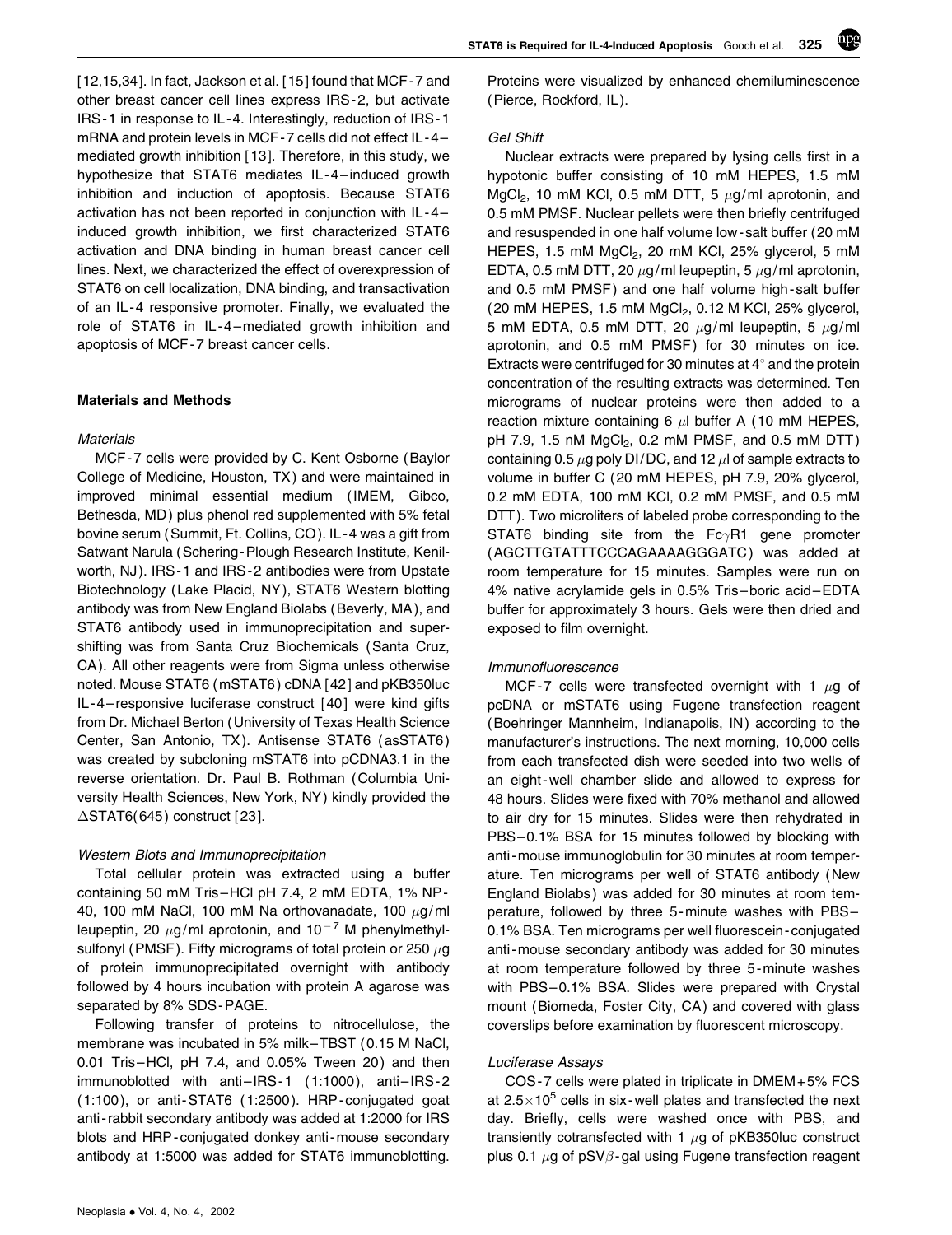[ 12,15,34]. In fact, Jackson et al. [ 15] found that MCF - 7 and other breast cancer cell lines express IRS -2, but activate IRS -1 in response to IL -4. Interestingly, reduction of IRS - 1 mRNA and protein levels in MCF -7 cells did not effect IL -4 – mediated growth inhibition [ 13]. Therefore, in this study, we hypothesize that STAT6 mediates IL -4 – induced growth inhibition and induction of apoptosis. Because STAT6 activation has not been reported in conjunction with IL -4 – induced growth inhibition, we first characterized STAT6 activation and DNA binding in human breast cancer cell lines. Next, we characterized the effect of overexpression of STAT6 on cell localization, DNA binding, and transactivation of an IL -4 responsive promoter. Finally, we evaluated the role of STAT6 in IL -4 –mediated growth inhibition and apoptosis of MCF - 7 breast cancer cells.

#### Materials and Methods

#### **Materials**

MCF -7 cells were provided by C. Kent Osborne (Baylor College of Medicine, Houston, TX ) and were maintained in improved minimal essential medium (IMEM, Gibco, Bethesda, MD ) plus phenol red supplemented with 5% fetal bovine serum (Summit, Ft. Collins, CO ). IL -4 was a gift from Satwant Narula (Schering -Plough Research Institute, Kenilworth, NJ). IRS-1 and IRS-2 antibodies were from Upstate Biotechnology (Lake Placid, NY ), STAT6 Western blotting antibody was from New England Biolabs (Beverly, MA ), and STAT6 antibody used in immunoprecipitation and supershifting was from Santa Cruz Biochemicals (Santa Cruz, CA ). All other reagents were from Sigma unless otherwise noted. Mouse STAT6 (mSTAT6 ) cDNA [ 42] and pKB350luc IL -4 – responsive luciferase construct [ 40] were kind gifts from Dr. Michael Berton (University of Texas Health Science Center, San Antonio, TX ). Antisense STAT6 ( asSTAT6 ) was created by subcloning mSTAT6 into pCDNA3.1 in the reverse orientation. Dr. Paul B. Rothman (Columbia University Health Sciences, New York, NY ) kindly provided the  $\Delta$ STAT6(645) construct [23].

#### Western Blots and Immunoprecipitation

Total cellular protein was extracted using a buffer containing 50 mM Tris –HCl pH 7.4, 2 mM EDTA, 1% NP - 40, 100 mM NaCl, 100 mM Na orthovanadate, 100  $\mu$ g/ml leupeptin, 20  $\mu$ g/ml aprotonin, and 10<sup>-7</sup> M phenylmethylsulfonyl (PMSF). Fifty micrograms of total protein or 250  $\mu$ g of protein immunoprecipitated overnight with antibody followed by 4 hours incubation with protein A agarose was separated by 8% SDS -PAGE.

Following transfer of proteins to nitrocellulose, the membrane was incubated in 5% milk–TBST (0.15 M NaCl, 0.01 Tris –HCl, pH 7.4, and 0.05% Tween 20 ) and then  $immunoblotted$  with anti $-HS-1$   $(1:1000)$ , anti $-HS-2$ (1:100 ), or anti -STAT6 (1:2500 ). HRP - conjugated goat anti-rabbit secondary antibody was added at 1:2000 for IRS blots and HRP - conjugated donkey anti -mouse secondary antibody at 1:5000 was added for STAT6 immunoblotting.

Proteins were visualized by enhanced chemiluminescence (Pierce, Rockford, IL ).

npg

#### Gel Shift

Nuclear extracts were prepared by lysing cells first in a hypotonic buffer consisting of 10 mM HEPES, 1.5 mM MgCl<sub>2</sub>, 10 mM KCl, 0.5 mM DTT, 5  $\mu$ g/ml aprotonin, and 0.5 mM PMSF. Nuclear pellets were then briefly centrifuged and resuspended in one half volume low - salt buffer (20 mM HEPES, 1.5 mM MgCl<sub>2</sub>, 20 mM KCl, 25% glycerol, 5 mM EDTA, 0.5 mM DTT, 20  $\mu$ g/ml leupeptin, 5  $\mu$ g/ml aprotonin, and 0.5 mM PMSF) and one half volume high-salt buffer (20 mM HEPES, 1.5 mM  $MgCl<sub>2</sub>$ , 0.12 M KCl, 25% glycerol, 5 mM EDTA, 0.5 mM DTT, 20  $\mu$ g/ml leupeptin, 5  $\mu$ g/ml aprotonin, and 0.5 mM PMSF) for 30 minutes on ice. Extracts were centrifuged for 30 minutes at  $4^\circ$  and the protein concentration of the resulting extracts was determined. Ten micrograms of nuclear proteins were then added to a reaction mixture containing 6  $\mu$ l buffer A (10 mM HEPES,  $pH$  7.9, 1.5 nM  $MgCl<sub>2</sub>$ , 0.2 mM PMSF, and 0.5 mM DTT) containing 0.5  $\mu$ g poly DI/DC, and 12  $\mu$ l of sample extracts to volume in buffer C (20 mM HEPES, pH 7.9, 20% glycerol, 0.2 mM EDTA, 100 mM KCl, 0.2 mM PMSF, and 0.5 mM DTT ). Two microliters of labeled probe corresponding to the STAT6 binding site from the  $Fc\gamma R1$  gene promoter (AGCTTGTATTTCCCAGAAAAGGGATC) was added at room temperature for 15 minutes. Samples were run on 4% native acrylamide gels in 0.5% Tris – boric acid –EDTA buffer for approximately 3 hours. Gels were then dried and exposed to film overnight.

#### Immunofluorescence

MCF-7 cells were transfected overnight with 1  $\mu$ g of pcDNA or mSTAT6 using Fugene transfection reagent (Boehringer Mannheim, Indianapolis, IN ) according to the manufacturer's instructions. The next morning, 10,000 cells from each transfected dish were seeded into two wells of an eight -well chamber slide and allowed to express for 48 hours. Slides were fixed with 70% methanol and allowed to air dry for 15 minutes. Slides were then rehydrated in PBS-0.1% BSA for 15 minutes followed by blocking with anti-mouse immunoglobulin for 30 minutes at room temperature. Ten micrograms per well of STAT6 antibody (New England Biolabs ) was added for 30 minutes at room temperature, followed by three 5 -minute washes with PBS – 0.1% BSA. Ten micrograms per well fluorescein - conjugated anti-mouse secondary antibody was added for 30 minutes at room temperature followed by three 5 -minute washes with PBS-0.1% BSA. Slides were prepared with Crystal mount (Biomeda, Foster City, CA) and covered with glass coverslips before examination by fluorescent microscopy.

#### Luciferase Assays

COS -7 cells were plated in triplicate in DMEM+ 5% FCS at  $2.5\times10^5$  cells in six-well plates and transfected the next day. Briefly, cells were washed once with PBS, and transiently cotransfected with 1  $\mu$ g of pKB350luc construct plus 0.1  $\mu$ g of pSV $\beta$ -gal using Fugene transfection reagent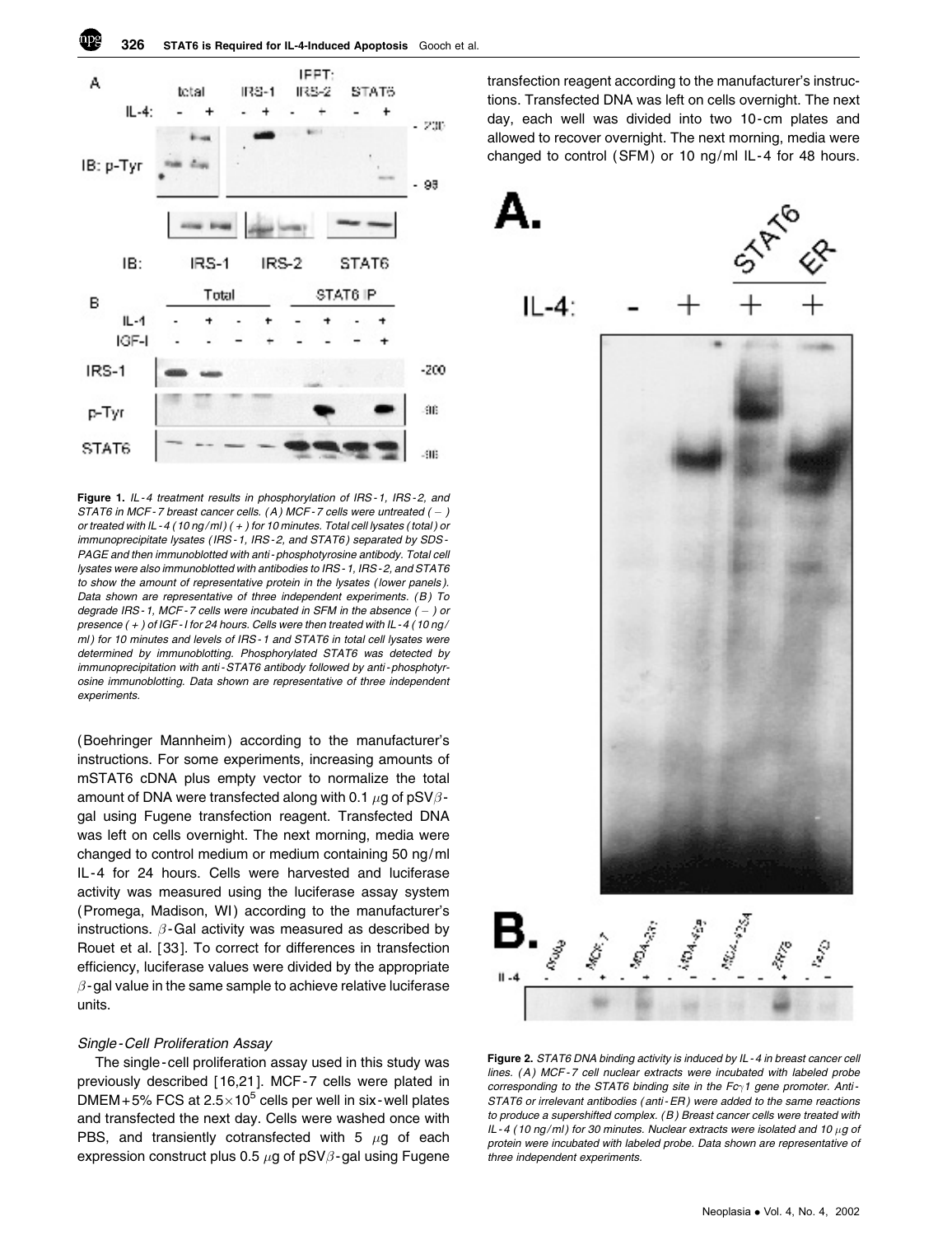

Figure 1. IL-4 treatment results in phosphorylation of IRS-1, IRS-2, and STAT6 in MCF-7 breast cancer cells.  $(A)$  MCF-7 cells were untreated  $(-)$ or treated with IL - 4 (10 ng/ml)  $(+)$  for 10 minutes. Total cell lysates (total) or immunoprecipitate lysates (IRS-1, IRS-2, and STAT6) separated by SDS-PAGE and then immunoblotted with anti - phosphotyrosine antibody. Total cell lysates were also immunoblotted with antibodies to IRS - 1, IRS - 2, and STAT6 to show the amount of representative protein in the lysates ( lower panels ). Data shown are representative of three independent experiments.  $(B)$  To degrade IRS-1, MCF-7 cells were incubated in SFM in the absence (  $-$  ) or presence ( + ) of IGF - I for 24 hours. Cells were then treated with IL - 4 ( 10 ng / ml) for 10 minutes and levels of IRS-1 and STAT6 in total cell lysates were determined by immunoblotting. Phosphorylated STAT6 was detected by immunoprecipitation with anti-STAT6 antibody followed by anti-phosphotyrosine immunoblotting. Data shown are representative of three independent experiments.

(Boehringer Mannheim) according to the manufacturer's instructions. For some experiments, increasing amounts of mSTAT6 cDNA plus empty vector to normalize the total amount of DNA were transfected along with 0.1  $\mu$ g of pSV $\beta$ gal using Fugene transfection reagent. Transfected DNA was left on cells overnight. The next morning, media were changed to control medium or medium containing 50 ng/ml IL -4 for 24 hours. Cells were harvested and luciferase activity was measured using the luciferase assay system (Promega, Madison, WI) according to the manufacturer's instructions.  $\beta$ -Gal activity was measured as described by Rouet et al. [ 33]. To correct for differences in transfection efficiency, luciferase values were divided by the appropriate  $\beta$ -gal value in the same sample to achieve relative luciferase units.

#### Single -Cell Proliferation Assay

The single - cell proliferation assay used in this study was previously described [ 16,21]. MCF -7 cells were plated in DMEM + 5% FCS at  $2.5\times10^5$  cells per well in six-well plates and transfected the next day. Cells were washed once with PBS, and transiently cotransfected with 5  $\mu$ g of each expression construct plus 0.5  $\mu$ g of pSV $\beta$ -gal using Fugene

transfection reagent according to the manufacturer's instructions. Transfected DNA was left on cells overnight. The next day, each well was divided into two 10-cm plates and allowed to recover overnight. The next morning, media were changed to control (SFM) or 10 ng/ml IL-4 for 48 hours.



Figure 2. STAT6 DNA binding activity is induced by IL - 4 in breast cancer cell lines. (A) MCF-7 cell nuclear extracts were incubated with labeled probe corresponding to the STAT6 binding site in the  $Fc<sub>1</sub>$  gene promoter. Anti-STAT6 or irrelevant antibodies ( anti - ER ) were added to the same reactions to produce a supershifted complex. ( B ) Breast cancer cells were treated with IL-4 (10 ng/ml) for 30 minutes. Nuclear extracts were isolated and 10  $\mu$ g of protein were incubated with labeled probe. Data shown are representative of three independent experiments.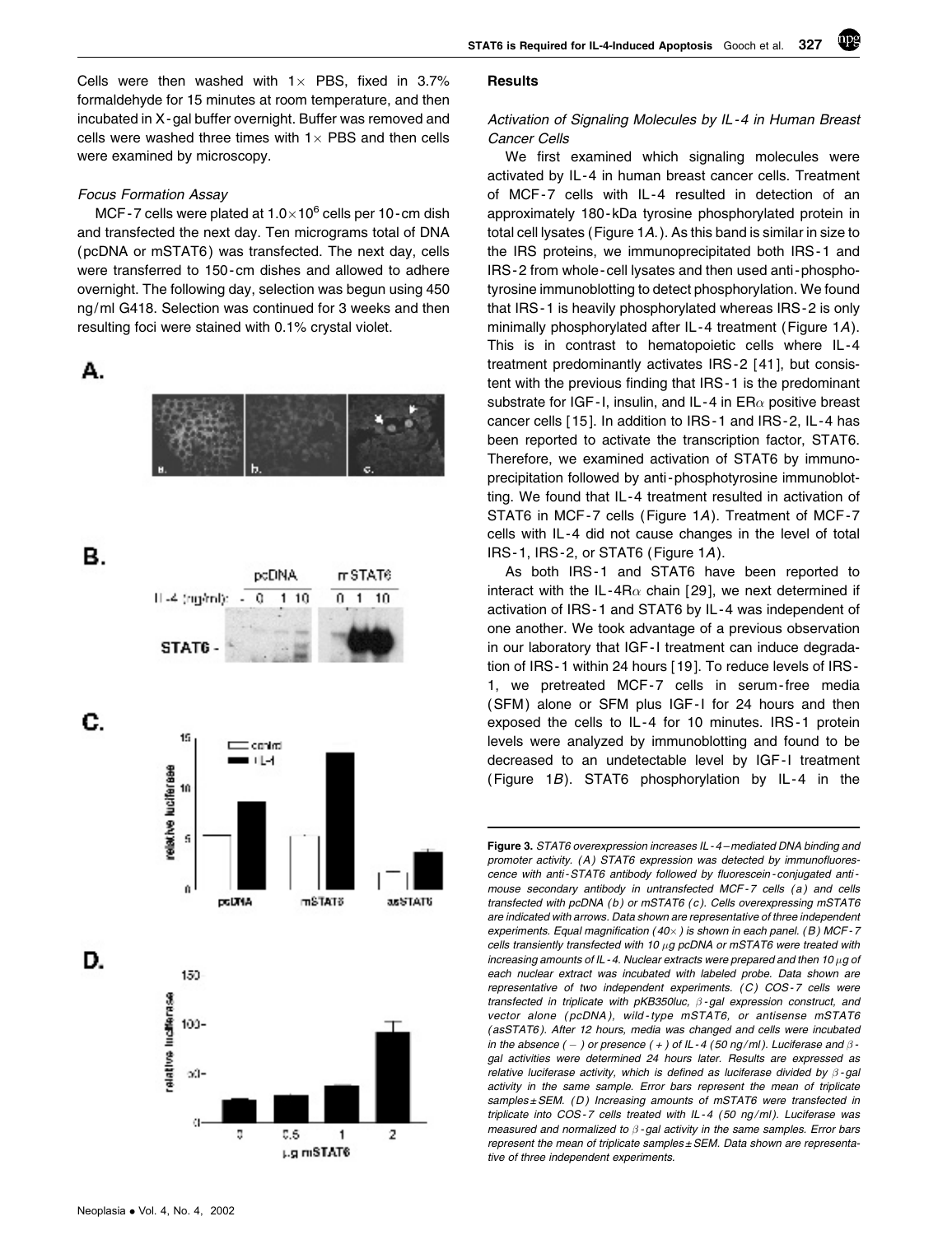STAT6 is Required for IL-4-Induced Apoptosis Gooch et al. 327

Cells were then washed with  $1 \times$  PBS, fixed in 3.7% formaldehyde for 15 minutes at room temperature, and then incubated in X -gal buffer overnight. Buffer was removed and cells were washed three times with  $1 \times PBS$  and then cells were examined by microscopy.

#### Focus Formation Assay

MCF-7 cells were plated at  $1.0\times10^6$  cells per 10-cm dish and transfected the next day. Ten micrograms total of DNA (pcDNA or mSTAT6 ) was transfected. The next day, cells were transferred to 150-cm dishes and allowed to adhere overnight. The following day, selection was begun using 450 ng/ml G418. Selection was continued for 3 weeks and then resulting foci were stained with 0.1% crystal violet.

А.



в.



#### Results

# Activation of Signaling Molecules by IL -4 in Human Breast Cancer Cells

npg

We first examined which signaling molecules were activated by IL -4 in human breast cancer cells. Treatment of MCF -7 cells with IL -4 resulted in detection of an approximately 180 - kDa tyrosine phosphorylated protein in total cell lysates (Figure 1A. ). As this band is similar in size to the IRS proteins, we immunoprecipitated both IRS-1 and IRS -2 from whole - cell lysates and then used anti -phosphotyrosine immunoblotting to detect phosphorylation. We found that IRS -1 is heavily phosphorylated whereas IRS - 2 is only minimally phosphorylated after IL -4 treatment (Figure 1A). This is in contrast to hematopoietic cells where IL -4 treatment predominantly activates IRS -2 [ 41], but consistent with the previous finding that IRS -1 is the predominant substrate for IGF-I, insulin, and IL-4 in ER $\alpha$  positive breast cancer cells [ 15]. In addition to IRS - 1 and IRS -2, IL -4 has been reported to activate the transcription factor, STAT6. Therefore, we examined activation of STAT6 by immunoprecipitation followed by anti -phosphotyrosine immunoblotting. We found that IL -4 treatment resulted in activation of STAT6 in MCF-7 cells (Figure 1A). Treatment of MCF-7 cells with IL -4 did not cause changes in the level of total IRS-1, IRS-2, or STAT6 (Figure 1A).

As both IRS-1 and STAT6 have been reported to interact with the IL-4R $\alpha$  chain [29], we next determined if activation of IRS -1 and STAT6 by IL - 4 was independent of one another. We took advantage of a previous observation in our laboratory that IGF -I treatment can induce degradation of IRS -1 within 24 hours [ 19]. To reduce levels of IRS - 1, we pretreated MCF-7 cells in serum-free media (SFM) alone or SFM plus IGF-I for 24 hours and then exposed the cells to IL -4 for 10 minutes. IRS -1 protein levels were analyzed by immunoblotting and found to be decreased to an undetectable level by IGF -I treatment (Figure  $1B$ ). STAT6 phosphorylation by IL-4 in the

Figure 3. STAT6 overexpression increases IL - 4 – mediated DNA binding and promoter activity. (A) STAT6 expression was detected by immunofluorescence with anti - STAT6 antibody followed by fluorescein - conjugated anti mouse secondary antibody in untransfected MCF-7 cells (a) and cells transfected with pcDNA (b) or mSTAT6 (c). Cells overexpressing mSTAT6 are indicated with arrows. Data shown are representative of three independent experiments. Equal magnification ( $40\times$ ) is shown in each panel. (B) MCF-7 cells transiently transfected with 10  $\mu$ g pcDNA or mSTAT6 were treated with increasing amounts of IL - 4. Nuclear extracts were prepared and then 10  $\mu$ g of each nuclear extract was incubated with labeled probe. Data shown are representative of two independent experiments. (C) COS-7 cells were transfected in triplicate with pKB350luc,  $\beta$ -gal expression construct, and vector alone (pcDNA), wild-type mSTAT6, or antisense mSTAT6 ( asSTAT6 ). After 12 hours, media was changed and cells were incubated in the absence ( – ) or presence ( + ) of IL - 4 (50 ng/ml). Luciferase and  $\beta$  gal activities were determined 24 hours later. Results are expressed as relative luciferase activity, which is defined as luciferase divided by  $\beta$ -gal activity in the same sample. Error bars represent the mean of triplicate samples  $\pm$  SEM. (D) Increasing amounts of mSTAT6 were transfected in triplicate into COS-7 cells treated with IL-4 (50 ng/ml). Luciferase was measured and normalized to  $\beta$ -gal activity in the same samples. Error bars represent the mean of triplicate samples  $\pm$  SEM. Data shown are representative of three independent experiments.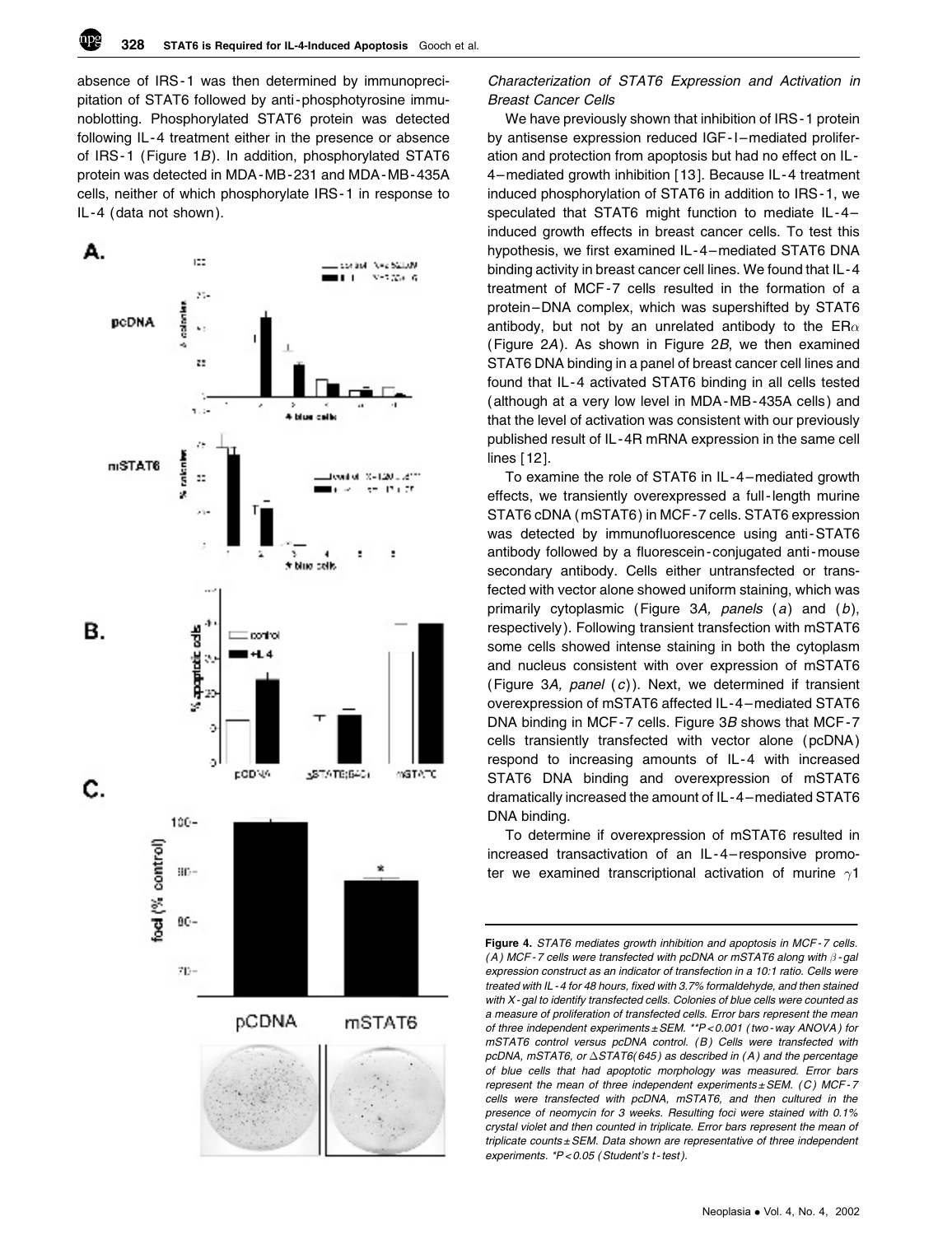absence of IRS -1 was then determined by immunoprecipitation of STAT6 followed by anti -phosphotyrosine immunoblotting. Phosphorylated STAT6 protein was detected following IL -4 treatment either in the presence or absence of IRS-1 (Figure 1B). In addition, phosphorylated STAT6 protein was detected in MDA -MB -231 and MDA -MB - 435A cells, neither of which phosphorylate IRS -1 in response to IL-4 (data not shown).



# Characterization of STAT6 Expression and Activation in Breast Cancer Cells

We have previously shown that inhibition of IRS -1 protein by antisense expression reduced IGF-I-mediated proliferation and protection from apoptosis but had no effect on IL - 4–mediated growth inhibition [ 13]. Because IL -4 treatment induced phosphorylation of STAT6 in addition to IRS -1, we speculated that STAT6 might function to mediate IL -4 – induced growth effects in breast cancer cells. To test this hypothesis, we first examined IL-4–mediated STAT6 DNA binding activity in breast cancer cell lines. We found that IL -4 treatment of MCF -7 cells resulted in the formation of a protein–DNA complex, which was supershifted by STAT6 antibody, but not by an unrelated antibody to the ER $\alpha$ (Figure 2A). As shown in Figure 2B, we then examined STAT6 DNA binding in a panel of breast cancer cell lines and found that IL -4 activated STAT6 binding in all cells tested (although at a very low level in MDA -MB -435A cells ) and that the level of activation was consistent with our previously published result of IL -4R mRNA expression in the same cell lines [ 12].

To examine the role of STAT6 in IL -4 –mediated growth effects, we transiently overexpressed a full - length murine STAT6 cDNA (mSTAT6 ) in MCF -7 cells. STAT6 expression was detected by immunofluorescence using anti-STAT6 antibody followed by a fluorescein - conjugated anti -mouse secondary antibody. Cells either untransfected or transfected with vector alone showed uniform staining, which was primarily cytoplasmic (Figure 3A, panels (a) and (b), respectively ). Following transient transfection with mSTAT6 some cells showed intense staining in both the cytoplasm and nucleus consistent with over expression of mSTAT6 (Figure 3A, panel  $(c)$ ). Next, we determined if transient overexpression of mSTAT6 affected IL -4 –mediated STAT6 DNA binding in MCF-7 cells. Figure 3B shows that MCF-7 cells transiently transfected with vector alone (pcDNA ) respond to increasing amounts of IL -4 with increased STAT6 DNA binding and overexpression of mSTAT6 dramatically increased the amount of IL -4 –mediated STAT6 DNA binding.

To determine if overexpression of mSTAT6 resulted in increased transactivation of an IL -4 – responsive promoter we examined transcriptional activation of murine  $\gamma$ 1

Figure 4. STAT6 mediates growth inhibition and apoptosis in MCF-7 cells. (A) MCF-7 cells were transfected with pcDNA or mSTAT6 along with  $\beta$ -gal expression construct as an indicator of transfection in a 10:1 ratio. Cells were treated with IL - 4 for 48 hours, fixed with 3.7% formaldehyde, and then stained with X-gal to identify transfected cells. Colonies of blue cells were counted as a measure of proliferation of transfected cells. Error bars represent the mean of three independent experiments ± SEM. \*\*P < 0.001 ( two - way ANOVA ) for mSTAT6 control versus pcDNA control. (B) Cells were transfected with pcDNA, mSTAT6, or  $\Delta$ STAT6(645) as described in (A) and the percentage of blue cells that had apoptotic morphology was measured. Error bars represent the mean of three independent experiments  $\pm$  SEM. (C) MCF-7 cells were transfected with pcDNA, mSTAT6, and then cultured in the presence of neomycin for 3 weeks. Resulting foci were stained with 0.1% crystal violet and then counted in triplicate. Error bars represent the mean of triplicate counts  $\pm$  SEM. Data shown are representative of three independent experiments. \*P<0.05 (Student's t-test).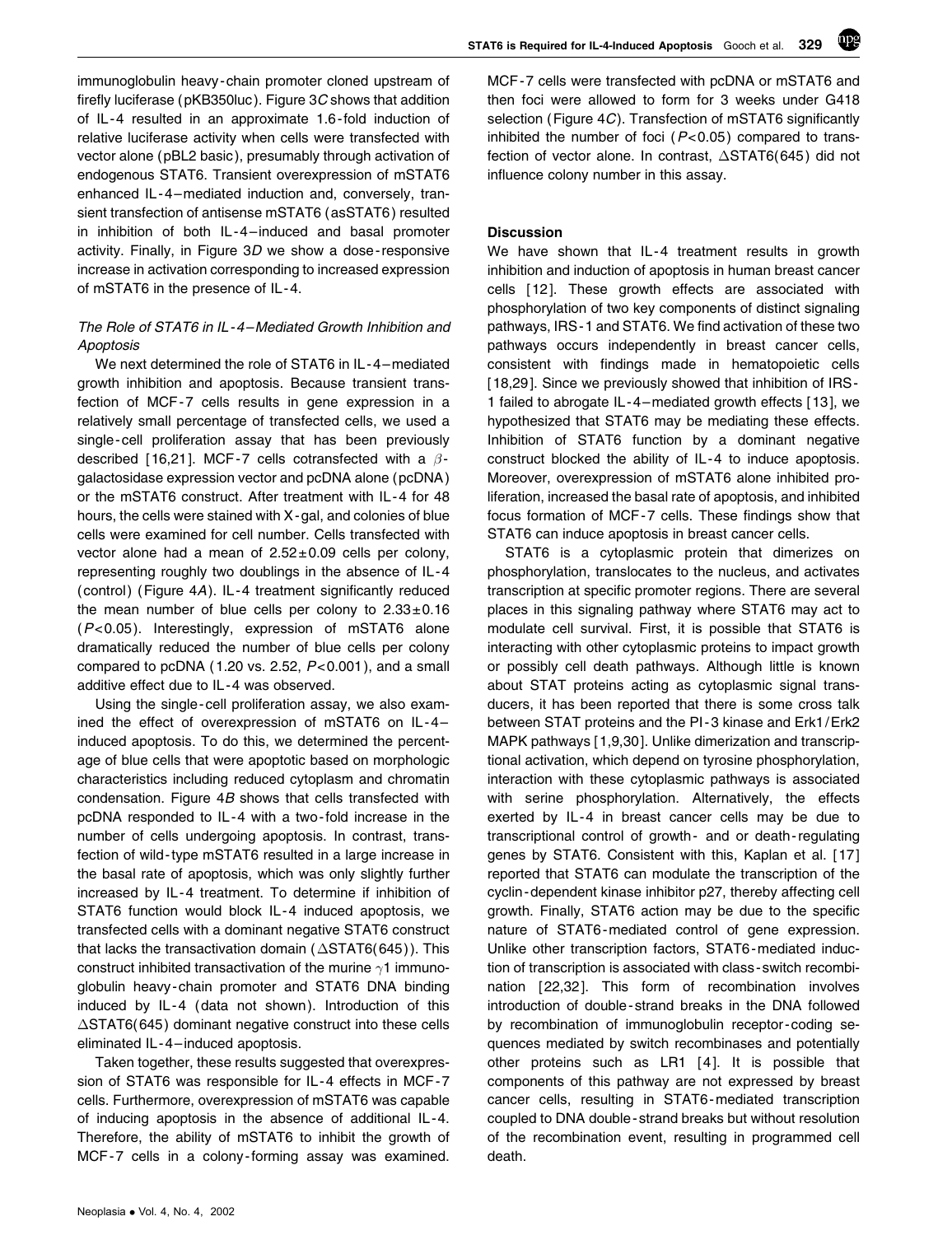immunoglobulin heavy - chain promoter cloned upstream of firefly luciferase (pKB350luc ). Figure 3C shows that addition of IL -4 resulted in an approximate 1.6 -fold induction of relative luciferase activity when cells were transfected with vector alone (pBL2 basic ), presumably through activation of endogenous STAT6. Transient overexpression of mSTAT6 enhanced IL-4-mediated induction and, conversely, transient transfection of antisense mSTAT6 (asSTAT6 ) resulted in inhibition of both IL-4-induced and basal promoter activity. Finally, in Figure 3D we show a dose - responsive increase in activation corresponding to increased expression of mSTAT6 in the presence of IL -4.

# The Role of STAT6 in IL - 4 –Mediated Growth Inhibition and Apoptosis

We next determined the role of STAT6 in IL-4-mediated growth inhibition and apoptosis. Because transient transfection of MCF -7 cells results in gene expression in a relatively small percentage of transfected cells, we used a single-cell proliferation assay that has been previously described [16,21]. MCF-7 cells cotransfected with a  $\beta$ galactosidase expression vector and pcDNA alone ( pcDNA ) or the mSTAT6 construct. After treatment with IL - 4 for 48 hours, the cells were stained with X-gal, and colonies of blue cells were examined for cell number. Cells transfected with vector alone had a mean of 2.52± 0.09 cells per colony, representing roughly two doublings in the absence of IL - 4  $(control)$  (Figure 4A). IL-4 treatment significantly reduced the mean number of blue cells per colony to  $2.33 \pm 0.16$  $(P< 0.05)$ . Interestingly, expression of mSTAT6 alone dramatically reduced the number of blue cells per colony compared to pcDNA (1.20 vs. 2.52,  $P<0.001$ ), and a small additive effect due to IL -4 was observed.

Using the single - cell proliferation assay, we also examined the effect of overexpression of mSTAT6 on IL -4 – induced apoptosis. To do this, we determined the percentage of blue cells that were apoptotic based on morphologic characteristics including reduced cytoplasm and chromatin condensation. Figure 4B shows that cells transfected with pcDNA responded to IL -4 with a two -fold increase in the number of cells undergoing apoptosis. In contrast, transfection of wild -type mSTAT6 resulted in a large increase in the basal rate of apoptosis, which was only slightly further increased by IL -4 treatment. To determine if inhibition of STAT6 function would block IL-4 induced apoptosis, we transfected cells with a dominant negative STAT6 construct that lacks the transactivation domain ( $\Delta \text{STAT6(645)}$ ). This construct inhibited transactivation of the murine  $\gamma$ 1 immunoglobulin heavy - chain promoter and STAT6 DNA binding induced by IL-4 (data not shown). Introduction of this  $\Delta \text{STAT6(645)}$  dominant negative construct into these cells eliminated IL -4 – induced apoptosis.

Taken together, these results suggested that overexpression of STAT6 was responsible for IL-4 effects in MCF-7 cells. Furthermore, overexpression of mSTAT6 was capable of inducing apoptosis in the absence of additional IL -4. Therefore, the ability of mSTAT6 to inhibit the growth of MCF -7 cells in a colony -forming assay was examined.



MCF -7 cells were transfected with pcDNA or mSTAT6 and then foci were allowed to form for 3 weeks under G418 selection (Figure 4C). Transfection of mSTAT6 significantly inhibited the number of foci  $(P<0.05)$  compared to transfection of vector alone. In contrast,  $\triangle \text{STAT6(645)}$  did not influence colony number in this assay.

#### **Discussion**

We have shown that IL-4 treatment results in growth inhibition and induction of apoptosis in human breast cancer cells [ 12]. These growth effects are associated with phosphorylation of two key components of distinct signaling pathways, IRS -1 and STAT6. We find activation of these two pathways occurs independently in breast cancer cells, consistent with findings made in hematopoietic cells [18,29]. Since we previously showed that inhibition of IRS-1 failed to abrogate IL -4 –mediated growth effects [ 13], we hypothesized that STAT6 may be mediating these effects. Inhibition of STAT6 function by a dominant negative construct blocked the ability of IL -4 to induce apoptosis. Moreover, overexpression of mSTAT6 alone inhibited proliferation, increased the basal rate of apoptosis, and inhibited focus formation of MCF - 7 cells. These findings show that STAT6 can induce apoptosis in breast cancer cells.

STAT6 is a cytoplasmic protein that dimerizes on phosphorylation, translocates to the nucleus, and activates transcription at specific promoter regions. There are several places in this signaling pathway where STAT6 may act to modulate cell survival. First, it is possible that STAT6 is interacting with other cytoplasmic proteins to impact growth or possibly cell death pathways. Although little is known about STAT proteins acting as cytoplasmic signal transducers, it has been reported that there is some cross talk between STAT proteins and the PI -3 kinase and Erk1/Erk2 MAPK pathways [ 1,9,30]. Unlike dimerization and transcriptional activation, which depend on tyrosine phosphorylation, interaction with these cytoplasmic pathways is associated with serine phosphorylation. Alternatively, the effects exerted by IL-4 in breast cancer cells may be due to transcriptional control of growth - and or death - regulating genes by STAT6. Consistent with this, Kaplan et al. [ 17] reported that STAT6 can modulate the transcription of the cyclin -dependent kinase inhibitor p27, thereby affecting cell growth. Finally, STAT6 action may be due to the specific nature of STAT6 -mediated control of gene expression. Unlike other transcription factors, STAT6 -mediated induction of transcription is associated with class - switch recombination [ 22,32]. This form of recombination involves introduction of double - strand breaks in the DNA followed by recombination of immunoglobulin receptor - coding sequences mediated by switch recombinases and potentially other proteins such as LR1 [4]. It is possible that components of this pathway are not expressed by breast cancer cells, resulting in STAT6 -mediated transcription coupled to DNA double - strand breaks but without resolution of the recombination event, resulting in programmed cell death.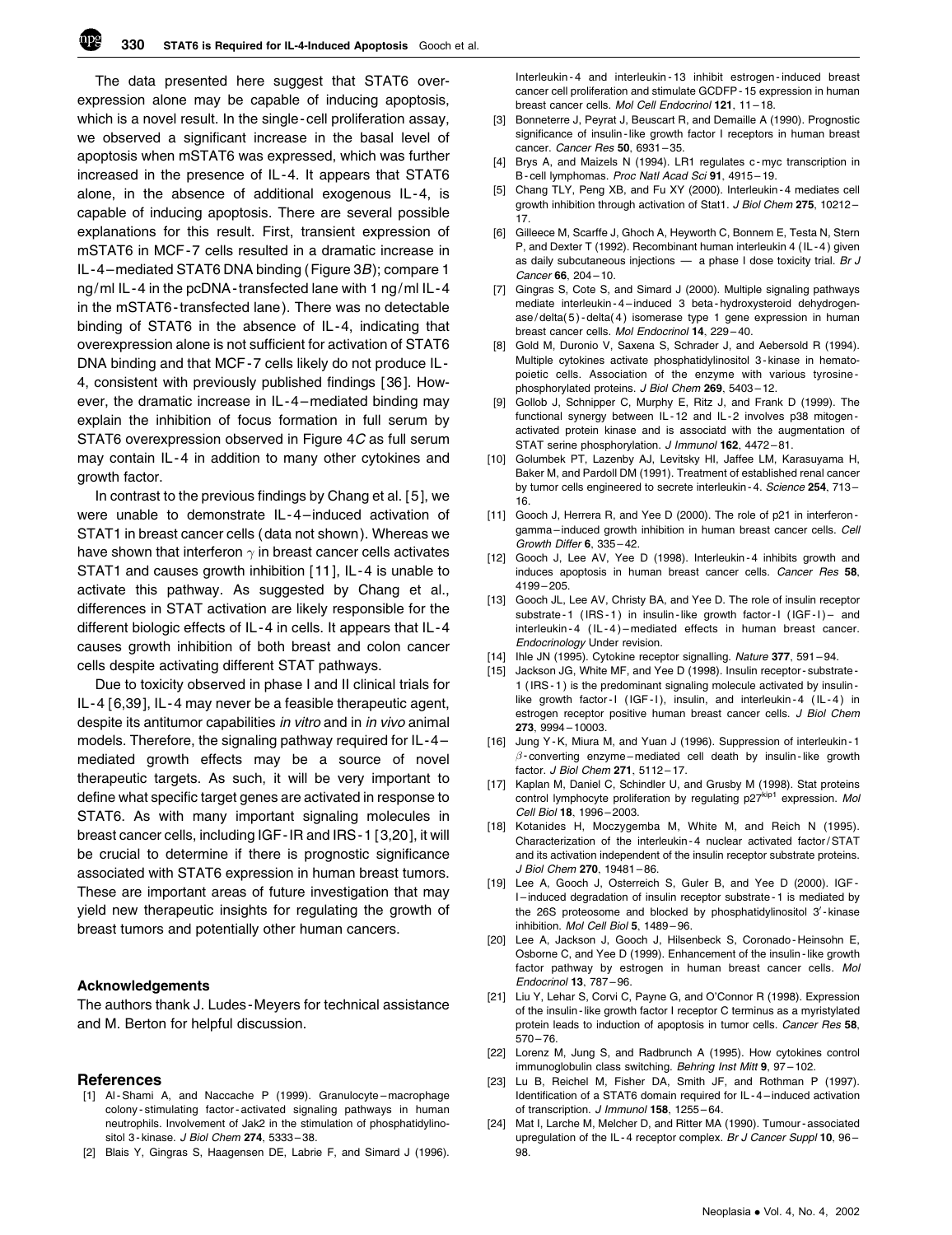

The data presented here suggest that STAT6 overexpression alone may be capable of inducing apoptosis, which is a novel result. In the single - cell proliferation assay, we observed a significant increase in the basal level of apoptosis when mSTAT6 was expressed, which was further increased in the presence of IL -4. It appears that STAT6 alone, in the absence of additional exogenous IL -4, is capable of inducing apoptosis. There are several possible explanations for this result. First, transient expression of mSTAT6 in MCF -7 cells resulted in a dramatic increase in IL -4 –mediated STAT6 DNA binding (Figure 3B); compare 1 ng/ml IL-4 in the pcDNA-transfected lane with 1 ng/ml IL-4 in the mSTAT6-transfected lane). There was no detectable binding of STAT6 in the absence of IL -4, indicating that overexpression alone is not sufficient for activation of STAT6 DNA binding and that MCF -7 cells likely do not produce IL - 4, consistent with previously published findings [ 36]. However, the dramatic increase in IL -4 –mediated binding may explain the inhibition of focus formation in full serum by STAT6 overexpression observed in Figure 4C as full serum may contain IL-4 in addition to many other cytokines and growth factor.

In contrast to the previous findings by Chang et al. [ 5], we were unable to demonstrate IL-4-induced activation of STAT1 in breast cancer cells ( data not shown ). Whereas we have shown that interferon  $\gamma$  in breast cancer cells activates STAT1 and causes growth inhibition [ 11], IL -4 is unable to activate this pathway. As suggested by Chang et al., differences in STAT activation are likely responsible for the different biologic effects of IL-4 in cells. It appears that IL-4 causes growth inhibition of both breast and colon cancer cells despite activating different STAT pathways.

Due to toxicity observed in phase I and II clinical trials for IL -4 [ 6,39], IL -4 may never be a feasible therapeutic agent, despite its antitumor capabilities in vitro and in in vivo animal models. Therefore, the signaling pathway required for IL -4 – mediated growth effects may be a source of novel therapeutic targets. As such, it will be very important to define what specific target genes are activated in response to STAT6. As with many important signaling molecules in breast cancer cells, including IGF -IR and IRS -1 [ 3,20], it will be crucial to determine if there is prognostic significance associated with STAT6 expression in human breast tumors. These are important areas of future investigation that may yield new therapeutic insights for regulating the growth of breast tumors and potentially other human cancers.

#### Acknowledgements

The authors thank J. Ludes -Meyers for technical assistance and M. Berton for helpful discussion.

#### References

- [1] Al-Shami A, and Naccache P (1999). Granulocyte-macrophage colony - stimulating factor - activated signaling pathways in human neutrophils. Involvement of Jak2 in the stimulation of phosphatidylinositol 3- kinase. J Biol Chem 274, 5333-38.
- [2] Blais Y, Gingras S, Haagensen DE, Labrie F, and Simard J (1996).

Interleukin - 4 and interleukin - 13 inhibit estrogen - induced breast cancer cell proliferation and stimulate GCDFP - 15 expression in human breast cancer cells. Mol Cell Endocrinol 121, 11 – 18.

- [3] Bonneterre J, Peyrat J, Beuscart R, and Demaille A (1990). Prognostic significance of insulin - like growth factor I receptors in human breast cancer. *Cancer Res* 50, 6931-35.
- [4] Brys A, and Maizels N (1994). LR1 regulates c-myc transcription in B - cell lymphomas. Proc Natl Acad Sci 91, 4915 – 19.
- [5] Chang TLY, Peng XB, and Fu XY (2000). Interleukin 4 mediates cell growth inhibition through activation of Stat1. J Biol Chem 275, 10212-17.
- [6] Gilleece M, Scarffe J, Ghoch A, Heyworth C, Bonnem E, Testa N, Stern P, and Dexter T (1992). Recombinant human interleukin 4 (IL - 4 ) given as daily subcutaneous injections  $-$  a phase I dose toxicity trial. Br J Cancer 66, 204 – 10.
- [7] Gingras S, Cote S, and Simard J (2000). Multiple signaling pathways mediate interleukin - 4 – induced 3 beta - hydroxysteroid dehydrogenase / delta( 5 ) - delta( 4 ) isomerase type 1 gene expression in human breast cancer cells. Mol Endocrinol 14, 229 – 40.
- [8] Gold M, Duronio V, Saxena S, Schrader J, and Aebersold R (1994). Multiple cytokines activate phosphatidylinositol 3 - kinase in hematopoietic cells. Association of the enzyme with various tyrosine phosphorylated proteins. J Biol Chem 269, 5403-12.
- [9] Gollob J, Schnipper C, Murphy E, Ritz J, and Frank D (1999). The functional synergy between IL-12 and IL-2 involves p38 mitogenactivated protein kinase and is associatd with the augmentation of STAT serine phosphorylation. J Immunol 162, 4472-81.
- [10] Golumbek PT, Lazenby AJ, Levitsky HI, Jaffee LM, Karasuyama H, Baker M, and Pardoll DM (1991). Treatment of established renal cancer by tumor cells engineered to secrete interleukin - 4. Science 254, 713 – 16.
- [11] Gooch J, Herrera R, and Yee D (2000). The role of p21 in interferon gamma-induced growth inhibition in human breast cancer cells. Cell Growth Differ 6, 335 – 42.
- [12] Gooch J, Lee AV, Yee D (1998). Interleukin 4 inhibits growth and induces apoptosis in human breast cancer cells. Cancer Res 58, 4199 – 205.
- [13] Gooch JL, Lee AV, Christy BA, and Yee D. The role of insulin receptor substrate - 1 (IRS - 1) in insulin - like growth factor - I (IGF - I) – and interleukin - 4 (IL - 4) – mediated effects in human breast cancer. Endocrinology Under revision.
- [14] Ihle JN (1995). Cytokine receptor signalling. Nature 377, 591-94.
- [15] Jackson JG, White MF, and Yee D (1998). Insulin receptor-substrate-1 ( IRS - 1 ) is the predominant signaling molecule activated by insulin like growth factor-I (IGF-I), insulin, and interleukin-4 (IL-4) in estrogen receptor positive human breast cancer cells. J Biol Chem 273, 9994 – 10003.
- [16] Jung Y K, Miura M, and Yuan J (1996). Suppression of interleukin 1  $\beta$ - converting enzyme – mediated cell death by insulin-like growth factor. J Biol Chem 271, 5112-17.
- [17] Kaplan M, Daniel C, Schindler U, and Grusby M (1998). Stat proteins control lymphocyte proliferation by regulating  $p27^{kip1}$  expression. Mol Cell Biol 18, 1996 – 2003.
- [18] Kotanides H, Moczygemba M, White M, and Reich N (1995). Characterization of the interleukin - 4 nuclear activated factor / STAT and its activation independent of the insulin receptor substrate proteins. J Biol Chem 270, 19481 – 86.
- [19] Lee A, Gooch J, Osterreich S, Guler B, and Yee D (2000). IGF-I – induced degradation of insulin receptor substrate - 1 is mediated by the 26S proteosome and blocked by phosphatidylinositol 3'-kinase inhibition. Mol Cell Biol 5, 1489 – 96.
- [20] Lee A, Jackson J, Gooch J, Hilsenbeck S, Coronado-Heinsohn E, Osborne C, and Yee D (1999). Enhancement of the insulin - like growth factor pathway by estrogen in human breast cancer cells. Mol Endocrinol 13, 787 – 96.
- [21] Liu Y, Lehar S, Corvi C, Payne G, and O'Connor R (1998). Expression of the insulin - like growth factor I receptor C terminus as a myristylated protein leads to induction of apoptosis in tumor cells. Cancer Res 58,  $570 - 76.$
- [22] Lorenz M, Jung S, and Radbrunch A (1995). How cytokines control immunoglobulin class switching. Behring Inst Mitt 9, 97-102.
- [23] Lu B, Reichel M, Fisher DA, Smith JF, and Rothman P (1997). Identification of a STAT6 domain required for IL - 4 – induced activation of transcription. J Immunol 158, 1255-64.
- [24] Mat I, Larche M, Melcher D, and Ritter MA (1990). Tumour associated upregulation of the IL-4 receptor complex. Br J Cancer Suppl 10, 96-98.